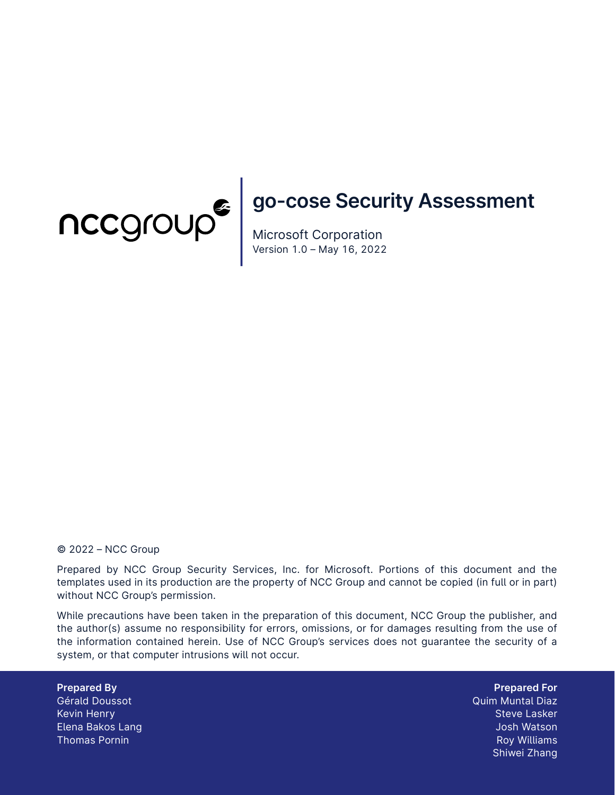

# **go-cose Security Assessment**

Microsoft Corporation Version 1.0 – May 16, 2022

#### © 2022 – NCC Group

Prepared by NCC Group Security Services, Inc. for Microsoft. Portions of this document and the templates used in its production are the property of NCC Group and cannot be copied (in full or in part) without NCC Group's permission.

While precautions have been taken in the preparation of this document, NCC Group the publisher, and the author(s) assume no responsibility for errors, omissions, or for damages resulting from the use of the information contained herein. Use of NCC Group's services does not guarantee the security of a system, or that computer intrusions will not occur.

**Prepared By** Gérald Doussot Kevin Henry Elena Bakos Lang Thomas Pornin

**Prepared For** Quim Muntal Diaz Steve Lasker Josh Watson Roy Williams Shiwei Zhang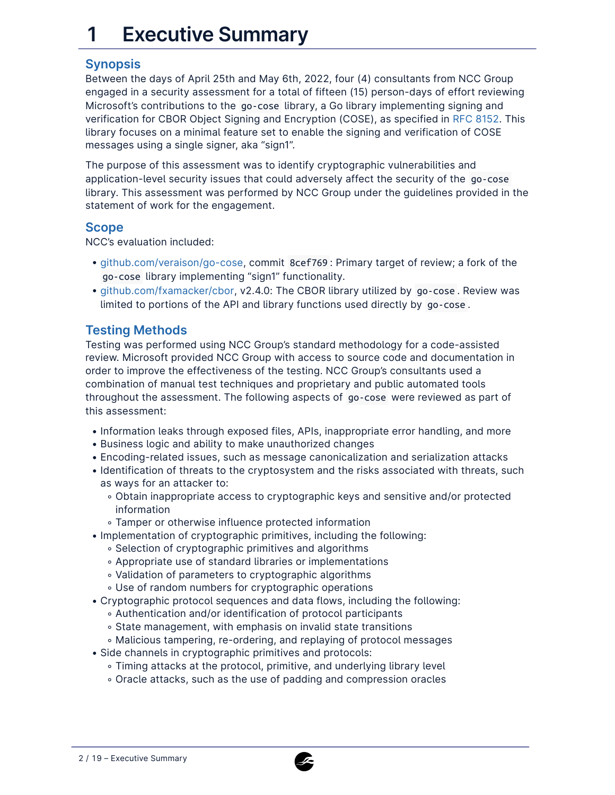# **1 Executive Summary**

### **Synopsis**

Between the days of April 25th and May 6th, 2022, four (4) consultants from NCC Group engaged in a security assessment for a total of fifteen (15) person-days of effort reviewing Microsoft's contributions to the go-cose library, a Go library implementing signing and verification for CBOR Object Signing and Encryption (COSE), as specified in [RFC 8152](https://datatracker.ietf.org/doc/html/rfc8152). This library focuses on a minimal feature set to enable the signing and verification of COSE messages using a single signer, aka "sign1".

The purpose of this assessment was to identify cryptographic vulnerabilities and application-level security issues that could adversely affect the security of the go-cose library. This assessment was performed by NCC Group under the guidelines provided in the statement of work for the engagement.

#### **Scope**

NCC's evaluation included:

- [github.com/veraison/go-cose](https://github.com/veraison/go-cose/tree/8cef769ef52c8fc111a8b1e4da83649f1cb170d0), commit 8cef769 : Primary target of review; a fork of the go-cose library implementing "sign1" functionality.
- [github.com/fxamacker/cbor](https://github.com/fxamacker/cbor), v2.4.0: The CBOR library utilized by go-cose . Review was limited to portions of the API and library functions used directly by go-cose .

### **Testing Methods**

Testing was performed using NCC Group's standard methodology for a code-assisted review. Microsoft provided NCC Group with access to source code and documentation in order to improve the effectiveness of the testing. NCC Group's consultants used a combination of manual test techniques and proprietary and public automated tools throughout the assessment. The following aspects of go-cose were reviewed as part of this assessment:

- Information leaks through exposed files, APIs, inappropriate error handling, and more
- Business logic and ability to make unauthorized changes
- Encoding-related issues, such as message canonicalization and serialization attacks •
- Identification of threats to the cryptosystem and the risks associated with threats, such as ways for an attacker to:
	- Obtain inappropriate access to cryptographic keys and sensitive and/or protected information
	- Tamper or otherwise influence protected information ◦
- Implementation of cryptographic primitives, including the following:
	- Selection of cryptographic primitives and algorithms
	- Appropriate use of standard libraries or implementations ◦
	- Validation of parameters to cryptographic algorithms ◦
	- Use of random numbers for cryptographic operations ◦
- Cryptographic protocol sequences and data flows, including the following:
	- Authentication and/or identification of protocol participants ◦
	- State management, with emphasis on invalid state transitions ◦
	- Malicious tampering, re-ordering, and replaying of protocol messages ◦
- Side channels in cryptographic primitives and protocols:
	- Timing attacks at the protocol, primitive, and underlying library level ◦
	- Oracle attacks, such as the use of padding and compression oracles ◦

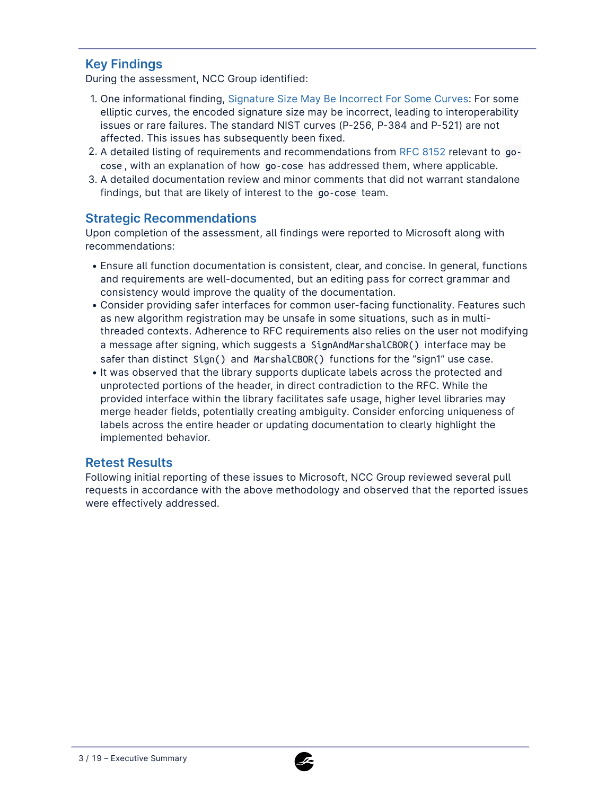### **Key Findings**

During the assessment, NCC Group identified:

- 1. One informational finding, [Signature Size May Be Incorrect For Some Curves:](#page-5-0) For some elliptic curves, the encoded signature size may be incorrect, leading to interoperability issues or rare failures. The standard NIST curves (P-256, P-384 and P-521) are not affected. This issues has subsequently been fixed.
- 2. A detailed listing of requirements and recommendations from [RFC 8152](https://datatracker.ietf.org/doc/html/rfc8152) relevant to gocose , with an explanation of how go-cose has addressed them, where applicable.
- A detailed documentation review and minor comments that did not warrant standalone 3. findings, but that are likely of interest to the go-cose team.

### **Strategic Recommendations**

Upon completion of the assessment, all findings were reported to Microsoft along with recommendations:

- Ensure all function documentation is consistent, clear, and concise. In general, functions and requirements are well-documented, but an editing pass for correct grammar and consistency would improve the quality of the documentation.
- Consider providing safer interfaces for common user-facing functionality. Features such as new algorithm registration may be unsafe in some situations, such as in multithreaded contexts. Adherence to RFC requirements also relies on the user not modifying a message after signing, which suggests a SignAndMarshalCBOR() interface may be safer than distinct Sign() and MarshalCBOR() functions for the "sign1" use case.
- It was observed that the library supports duplicate labels across the protected and unprotected portions of the header, in direct contradiction to the RFC. While the provided interface within the library facilitates safe usage, higher level libraries may merge header fields, potentially creating ambiguity. Consider enforcing uniqueness of labels across the entire header or updating documentation to clearly highlight the implemented behavior.

### **Retest Results**

Following initial reporting of these issues to Microsoft, NCC Group reviewed several pull requests in accordance with the above methodology and observed that the reported issues were effectively addressed.

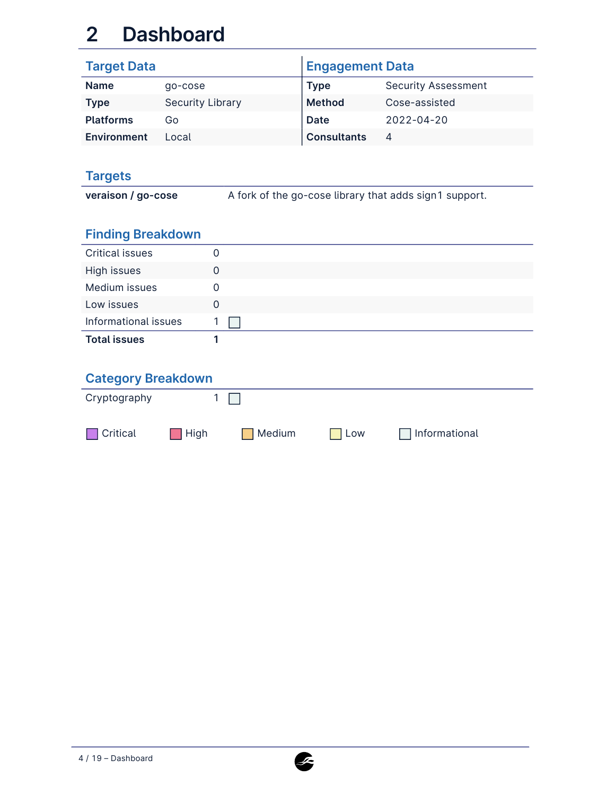# **2 Dashboard**

| <b>Target Data</b> |                         | <b>Engagement Data</b> |                            |
|--------------------|-------------------------|------------------------|----------------------------|
| <b>Name</b>        | go-cose                 | <b>Type</b>            | <b>Security Assessment</b> |
| <b>Type</b>        | <b>Security Library</b> | <b>Method</b>          | Cose-assisted              |
| <b>Platforms</b>   | G٥                      | Date                   | $2022 - 04 - 20$           |
| Environment        | Local                   | <b>Consultants</b>     | 4                          |

## **Targets**

**veraison / go-cose** A fork of the go-cose library that adds sign1 support.

# **Finding Breakdown**

| <b>Critical issues</b> |   |
|------------------------|---|
| High issues            | O |
| Medium issues          |   |
| Low issues             |   |
| Informational issues   |   |
| <b>Total issues</b>    |   |

## **Category Breakdown**

| Cryptography    |           |        |            |                |  |
|-----------------|-----------|--------|------------|----------------|--|
| $\Box$ Critical | $\P$ High | Medium | <b>Low</b> | ∣Informational |  |

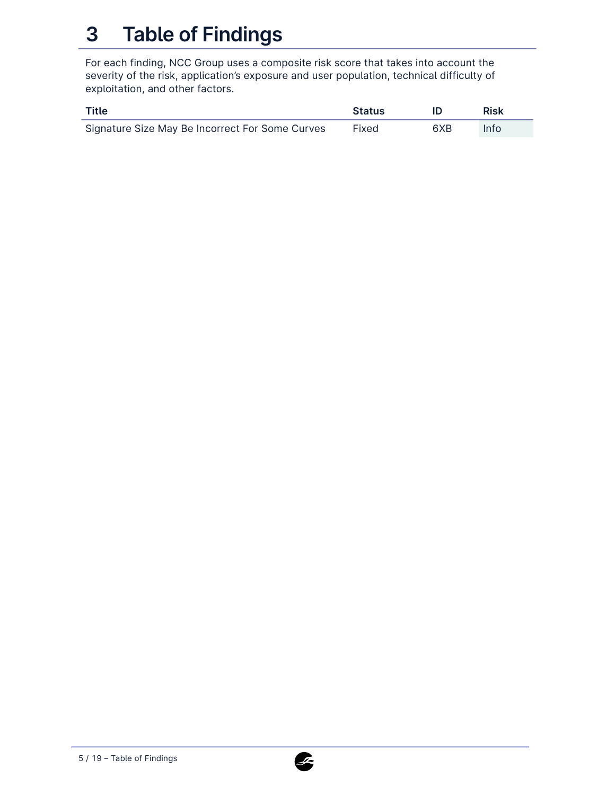# **3 Table of Findings**

For each finding, NCC Group uses a composite risk score that takes into account the severity of the risk, application's exposure and user population, technical difficulty of exploitation, and other factors.

| Title                                           | <b>Status</b> |     | Risk |
|-------------------------------------------------|---------------|-----|------|
| Signature Size May Be Incorrect For Some Curves | Fixed         | 6XB | Info |

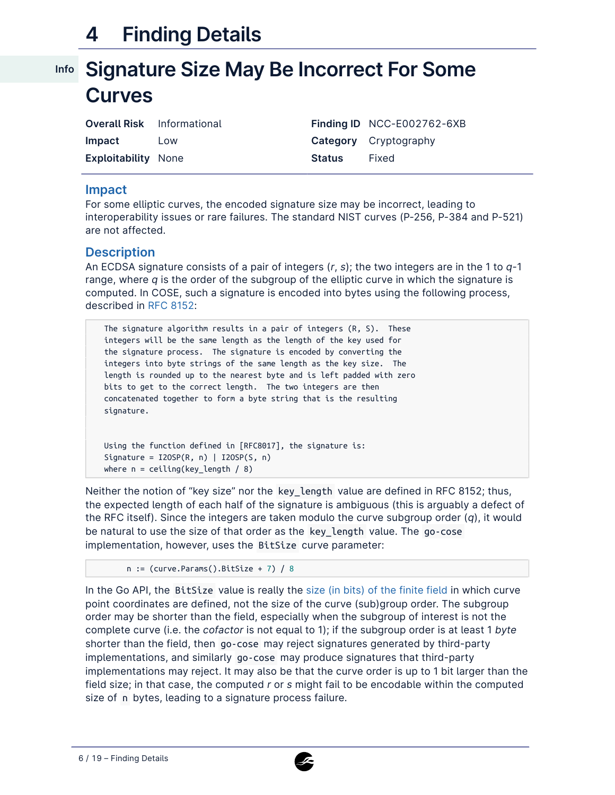# **4 Finding Details**

# <span id="page-5-0"></span>**Signature Size May Be Incorrect For Some Info Curves**

| <b>Overall Risk</b> Informational |     |               | Finding ID NCC-E002762-6XB   |
|-----------------------------------|-----|---------------|------------------------------|
| Impact                            | Low |               | <b>Category</b> Cryptography |
| <b>Exploitability None</b>        |     | <b>Status</b> | Fixed                        |

#### **Impact**

For some elliptic curves, the encoded signature size may be incorrect, leading to interoperability issues or rare failures. The standard NIST curves (P-256, P-384 and P-521) are not affected.

#### **Description**

An ECDSA signature consists of a pair of integers (*r*, *s*); the two integers are in the 1 to *q*-1 range, where *q* is the order of the subgroup of the elliptic curve in which the signature is computed. In COSE, such a signature is encoded into bytes using the following process, described in [RFC 8152](https://datatracker.ietf.org/doc/html/rfc8152#section-8.1):

The signature algorithm results in a pair of integers (R, S). These integers will be the same length as the length of the key used for the signature process. The signature is encoded by converting the integers into byte strings of the same length as the key size. The length is rounded up to the nearest byte and is left padded with zero bits to get to the correct length. The two integers are then concatenated together to form a byte string that is the resulting signature.

Using the function defined in [RFC8017], the signature is: Signature =  $I20SP(R, n)$  | I2OSP(S, n) where  $n =$  ceiling(key\_length / 8)

Neither the notion of "key size" nor the key\_length value are defined in RFC 8152; thus, the expected length of each half of the signature is ambiguous (this is arguably a defect of the RFC itself). Since the integers are taken modulo the curve subgroup order (*q*), it would be natural to use the size of that order as the key\_length value. The go-cose implementation, however, uses the BitSize curve parameter:

```
n := (curve. Parameters().BitSize + 7) / 8
```
In the Go API, the BitSize value is really the [size \(in bits\) of the finite field](https://pkg.go.dev/crypto/elliptic@go1.18.1#CurveParams) in which curve point coordinates are defined, not the size of the curve (sub)group order. The subgroup order may be shorter than the field, especially when the subgroup of interest is not the complete curve (i.e. the *cofactor* is not equal to 1); if the subgroup order is at least 1 *byte* shorter than the field, then go-cose may reject signatures generated by third-party implementations, and similarly go-cose may produce signatures that third-party implementations may reject. It may also be that the curve order is up to 1 bit larger than the field size; in that case, the computed *r* or *s* might fail to be encodable within the computed size of n bytes, leading to a signature process failure.

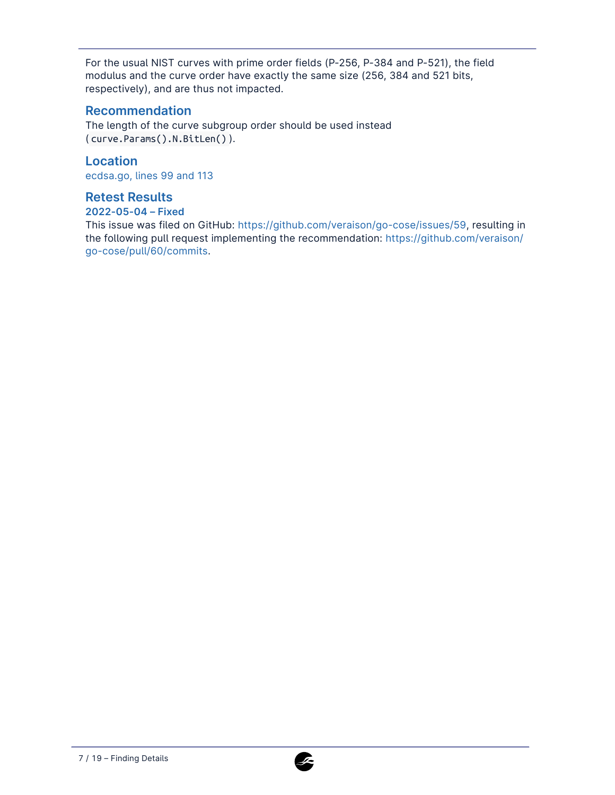For the usual NIST curves with prime order fields (P-256, P-384 and P-521), the field modulus and the curve order have exactly the same size (256, 384 and 521 bits, respectively), and are thus not impacted.

### **Recommendation**

The length of the curve subgroup order should be used instead ( curve.Params().N.BitLen() ).

### **Location**

[ecdsa.go, lines 99 and 113](https://github.com/veraison/go-cose/blob/8cef769ef52c8fc111a8b1e4da83649f1cb170d0/ecdsa.go#L99)

#### **Retest Results**

#### **2022-05-04 – Fixed**

This issue was filed on GitHub: <https://github.com/veraison/go-cose/issues/59>, resulting in the following pull request implementing the recommendation: [https://github.com/veraison/](https://github.com/veraison/go-cose/pull/60/commits) [go-cose/pull/60/commits](https://github.com/veraison/go-cose/pull/60/commits).

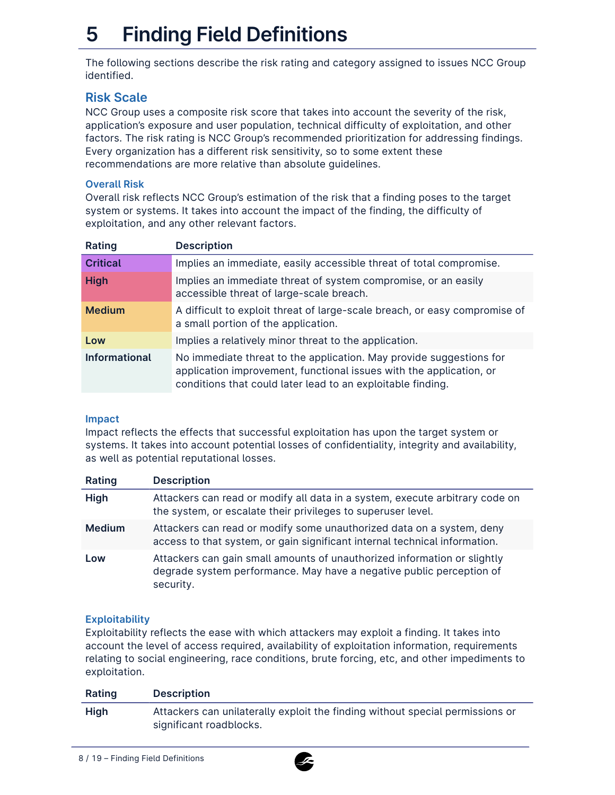# **5 Finding Field Definitions**

The following sections describe the risk rating and category assigned to issues NCC Group identified.

### **Risk Scale**

NCC Group uses a composite risk score that takes into account the severity of the risk, application's exposure and user population, technical difficulty of exploitation, and other factors. The risk rating is NCC Group's recommended prioritization for addressing findings. Every organization has a different risk sensitivity, so to some extent these recommendations are more relative than absolute guidelines.

#### **Overall Risk**

Overall risk reflects NCC Group's estimation of the risk that a finding poses to the target system or systems. It takes into account the impact of the finding, the difficulty of exploitation, and any other relevant factors.

| Rating               | <b>Description</b>                                                                                                                                                                                        |
|----------------------|-----------------------------------------------------------------------------------------------------------------------------------------------------------------------------------------------------------|
| <b>Critical</b>      | Implies an immediate, easily accessible threat of total compromise.                                                                                                                                       |
| <b>High</b>          | Implies an immediate threat of system compromise, or an easily<br>accessible threat of large-scale breach.                                                                                                |
| <b>Medium</b>        | A difficult to exploit threat of large-scale breach, or easy compromise of<br>a small portion of the application.                                                                                         |
| Low                  | Implies a relatively minor threat to the application.                                                                                                                                                     |
| <b>Informational</b> | No immediate threat to the application. May provide suggestions for<br>application improvement, functional issues with the application, or<br>conditions that could later lead to an exploitable finding. |

#### **Impact**

Impact reflects the effects that successful exploitation has upon the target system or systems. It takes into account potential losses of confidentiality, integrity and availability, as well as potential reputational losses.

| Rating        | <b>Description</b>                                                                                                                                            |
|---------------|---------------------------------------------------------------------------------------------------------------------------------------------------------------|
| <b>High</b>   | Attackers can read or modify all data in a system, execute arbitrary code on<br>the system, or escalate their privileges to superuser level.                  |
| <b>Medium</b> | Attackers can read or modify some unauthorized data on a system, deny<br>access to that system, or gain significant internal technical information.           |
| Low           | Attackers can gain small amounts of unauthorized information or slightly<br>degrade system performance. May have a negative public perception of<br>security. |

#### **Exploitability**

Exploitability reflects the ease with which attackers may exploit a finding. It takes into account the level of access required, availability of exploitation information, requirements relating to social engineering, race conditions, brute forcing, etc, and other impediments to exploitation.

| Rating      | <b>Description</b>                                                                                       |
|-------------|----------------------------------------------------------------------------------------------------------|
| <b>High</b> | Attackers can unilaterally exploit the finding without special permissions or<br>significant roadblocks. |

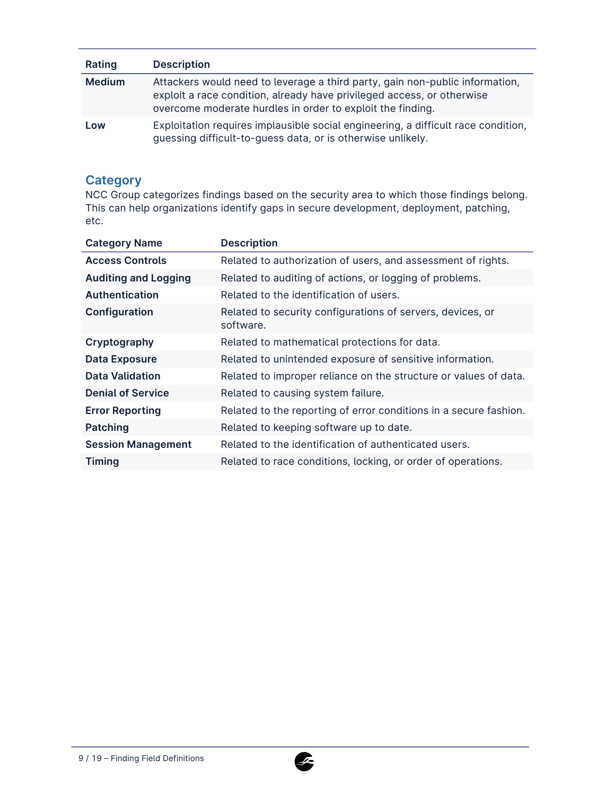| Rating        | <b>Description</b>                                                                                                                                                                                                   |
|---------------|----------------------------------------------------------------------------------------------------------------------------------------------------------------------------------------------------------------------|
| <b>Medium</b> | Attackers would need to leverage a third party, gain non-public information,<br>exploit a race condition, already have privileged access, or otherwise<br>overcome moderate hurdles in order to exploit the finding. |
| Low           | Exploitation requires implausible social engineering, a difficult race condition,<br>guessing difficult-to-guess data, or is otherwise unlikely.                                                                     |

### **Category**

NCC Group categorizes findings based on the security area to which those findings belong. This can help organizations identify gaps in secure development, deployment, patching, etc.

| <b>Category Name</b>        | <b>Description</b>                                                      |
|-----------------------------|-------------------------------------------------------------------------|
| <b>Access Controls</b>      | Related to authorization of users, and assessment of rights.            |
| <b>Auditing and Logging</b> | Related to auditing of actions, or logging of problems.                 |
| <b>Authentication</b>       | Related to the identification of users.                                 |
| Configuration               | Related to security configurations of servers, devices, or<br>software. |
| Cryptography                | Related to mathematical protections for data.                           |
| <b>Data Exposure</b>        | Related to unintended exposure of sensitive information.                |
| <b>Data Validation</b>      | Related to improper reliance on the structure or values of data.        |
| <b>Denial of Service</b>    | Related to causing system failure.                                      |
| <b>Error Reporting</b>      | Related to the reporting of error conditions in a secure fashion.       |
| Patching                    | Related to keeping software up to date.                                 |
| <b>Session Management</b>   | Related to the identification of authenticated users.                   |
| <b>Timing</b>               | Related to race conditions, locking, or order of operations.            |

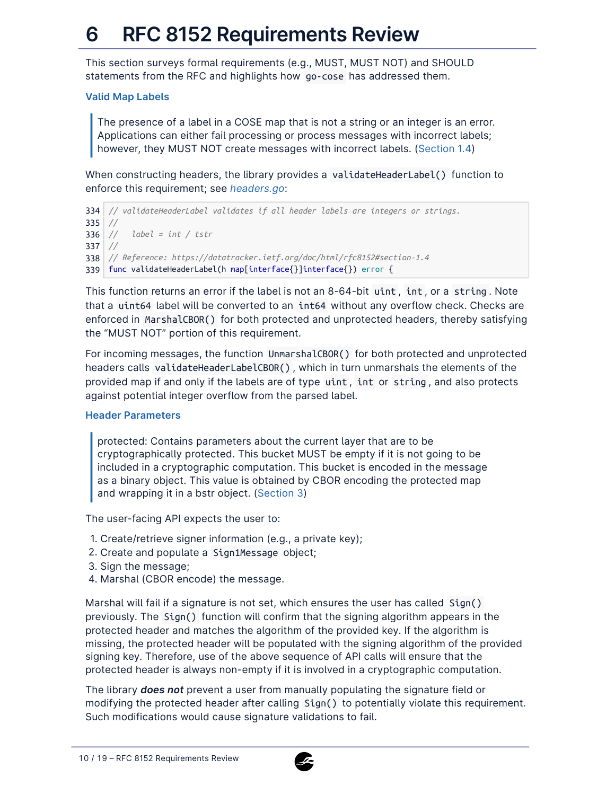# **6 RFC 8152 Requirements Review**

This section surveys formal requirements (e.g., MUST, MUST NOT) and SHOULD statements from the RFC and highlights how go-cose has addressed them.

#### **Valid Map Labels**

The presence of a label in a COSE map that is not a string or an integer is an error. Applications can either fail processing or process messages with incorrect labels; however, they MUST NOT create messages with incorrect labels. ([Section 1.4\)](https://datatracker.ietf.org/doc/html/rfc8152#section-1.4)

When constructing headers, the library provides a validateHeaderLabel() function to enforce this requirement; see *[headers.go](https://github.com/veraison/go-cose/blob/8cef769ef52c8fc111a8b1e4da83649f1cb170d0/headers.go#L334-#L375)*:

```
334
// validateHeaderLabel validates if all header labels are integers or strings.
335
//
336
// label = int / tstr
337
//
338
// Reference: https://datatracker.ietf.org/doc/html/rfc8152#section-1.4
339
func validateHeaderLabel(h map[interface{}]interface{}) error {
```
This function returns an error if the label is not an 8-64-bit uint , int , or a string . Note that a uint64 label will be converted to an int64 without any overflow check. Checks are enforced in MarshalCBOR() for both protected and unprotected headers, thereby satisfying the "MUST NOT" portion of this requirement.

For incoming messages, the function UnmarshalCBOR() for both protected and unprotected headers calls validateHeaderLabelCBOR() , which in turn unmarshals the elements of the provided map if and only if the labels are of type uint , int or string , and also protects against potential integer overflow from the parsed label.

#### **Header Parameters**

protected: Contains parameters about the current layer that are to be cryptographically protected. This bucket MUST be empty if it is not going to be included in a cryptographic computation. This bucket is encoded in the message as a binary object. This value is obtained by CBOR encoding the protected map and wrapping it in a bstr object. ([Section 3](https://datatracker.ietf.org/doc/html/rfc8152#section-3))

The user-facing API expects the user to:

- 1. Create/retrieve signer information (e.g., a private key);
- 2. Create and populate a Sign1Message object;
- Sign the message; 3.
- 4. Marshal (CBOR encode) the message.

Marshal will fail if a signature is not set, which ensures the user has called Sign() previously. The Sign() function will confirm that the signing algorithm appears in the protected header and matches the algorithm of the provided key. If the algorithm is missing, the protected header will be populated with the signing algorithm of the provided signing key. Therefore, use of the above sequence of API calls will ensure that the protected header is always non-empty if it is involved in a cryptographic computation.

The library *does not* prevent a user from manually populating the signature field or modifying the protected header after calling Sign() to potentially violate this requirement. Such modifications would cause signature validations to fail.

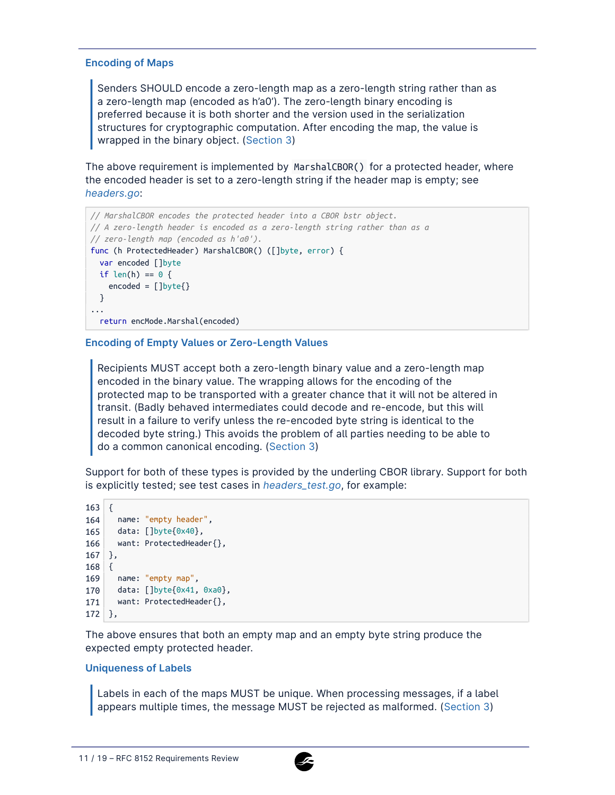#### **Encoding of Maps**

Senders SHOULD encode a zero-length map as a zero-length string rather than as a zero-length map (encoded as h'a0'). The zero-length binary encoding is preferred because it is both shorter and the version used in the serialization structures for cryptographic computation. After encoding the map, the value is wrapped in the binary object. ([Section 3\)](https://datatracker.ietf.org/doc/html/rfc8152#section-3)

The above requirement is implemented by MarshalCBOR() for a protected header, where the encoded header is set to a zero-length string if the header map is empty; see *[headers.go](https://github.com/veraison/go-cose/blob/8cef769ef52c8fc111a8b1e4da83649f1cb170d0/headers.go#L31-L52)*:

```
// MarshalCBOR encodes the protected header into a CBOR bstr object.
// A zero-length header is encoded as a zero-length string rather than as a
// zero-length map (encoded as h'a0').
func (h ProtectedHeader) MarshalCBOR() ([]byte, error) {
    var encoded []byte
    if len(h) == 0 \inencoded = \lceil \frac{1}{1} \frac{b}{1} \cdot \frac{c}{1} \cdot \frac{d}{1} \cdot \frac{d}{1} \cdot \frac{d}{1} \cdot \frac{d}{1} \cdot \frac{d}{1} \cdot \frac{d}{1} \cdot \frac{d}{1} \cdot \frac{d}{1} \cdot \frac{d}{1} \cdot \frac{d}{1} \cdot \frac{d}{1} \cdot \frac{d}{1} \cdot \frac{d}{1} \cdot \frac{d}{1} \cdot \frac{d}{1} \cdot \frac{d}{1} \cdot \frac{d}{1} \cdot \frac{d}{1} \cdot \frac{d}{1} \cdot \frac{d}{1} \cdot \frac{d}{1} \cdot \}
...
     return encMode.Marshal(encoded)
```
#### **Encoding of Empty Values or Zero-Length Values**

Recipients MUST accept both a zero-length binary value and a zero-length map encoded in the binary value. The wrapping allows for the encoding of the protected map to be transported with a greater chance that it will not be altered in transit. (Badly behaved intermediates could decode and re-encode, but this will result in a failure to verify unless the re-encoded byte string is identical to the decoded byte string.) This avoids the problem of all parties needing to be able to do a common canonical encoding. ([Section 3\)](https://datatracker.ietf.org/doc/html/rfc8152#section-3)

Support for both of these types is provided by the underling CBOR library. Support for both is explicitly tested; see test cases in *[headers\\_test.go](https://github.com/veraison/go-cose/blob/8cef769ef52c8fc111a8b1e4da83649f1cb170d0/headers_test.go#L163-#L172)*, for example:

```
163
{
164
name: "empty header",
165
data: []byte{0x40},
166
want: ProtectedHeader{},
167
},
168
{
169
name: "empty map",
170
data: []byte{0x41, 0xa0},
171
want: ProtectedHeader{},
172
},
```
The above ensures that both an empty map and an empty byte string produce the expected empty protected header.

#### **Uniqueness of Labels**

Labels in each of the maps MUST be unique. When processing messages, if a label appears multiple times, the message MUST be rejected as malformed. ([Section 3\)](https://datatracker.ietf.org/doc/html/rfc8152#section-3)

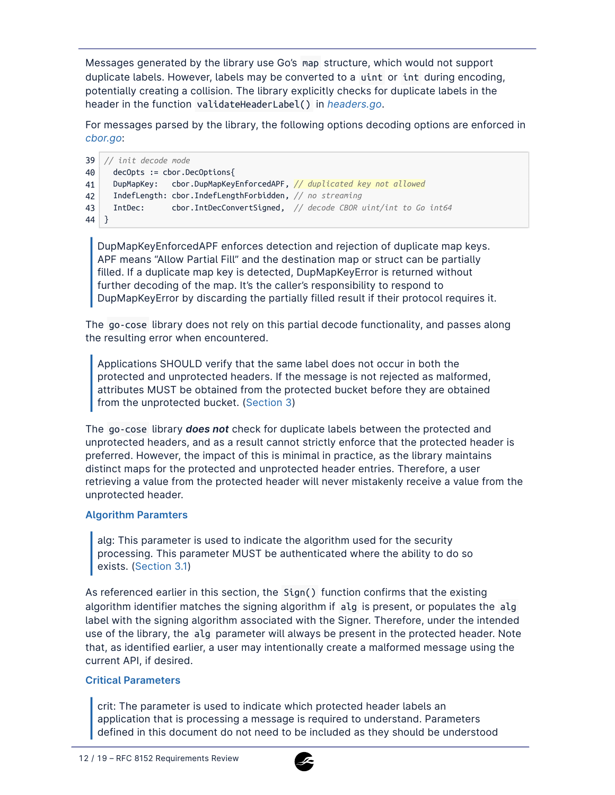Messages generated by the library use Go's map structure, which would not support duplicate labels. However, labels may be converted to a uint or int during encoding, potentially creating a collision. The library explicitly checks for duplicate labels in the header in the function validateHeaderLabel() in *[headers.go](https://github.com/veraison/go-cose/blob/8cef769ef52c8fc111a8b1e4da83649f1cb170d0/headers.go#L334-L375)*.

For messages parsed by the library, the following options decoding options are enforced in *[cbor.go](https://github.com/veraison/go-cose/blob/8cef769ef52c8fc111a8b1e4da83649f1cb170d0/cbor.go#L41)*:

```
39
// init decode mode
40
41
42
43
44
}
     decOpts := cbor.DecOptions{
     DupMapKey: cbor.DupMapKeyEnforcedAPF, // duplicated key not allowed
    IndefLength: cbor.IndefLengthForbidden, // no streaming
    IntDec: cbor.IntDecConvertSigned, // decode CBOR uint/int to Go int64
```
DupMapKeyEnforcedAPF enforces detection and rejection of duplicate map keys. APF means "Allow Partial Fill" and the destination map or struct can be partially filled. If a duplicate map key is detected, DupMapKeyError is returned without further decoding of the map. It's the caller's responsibility to respond to DupMapKeyError by discarding the partially filled result if their protocol requires it.

The go-cose library does not rely on this partial decode functionality, and passes along the resulting error when encountered.

Applications SHOULD verify that the same label does not occur in both the protected and unprotected headers. If the message is not rejected as malformed, attributes MUST be obtained from the protected bucket before they are obtained from the unprotected bucket. ([Section 3\)](https://datatracker.ietf.org/doc/html/rfc8152#section-3)

The go-cose library *does not* check for duplicate labels between the protected and unprotected headers, and as a result cannot strictly enforce that the protected header is preferred. However, the impact of this is minimal in practice, as the library maintains distinct maps for the protected and unprotected header entries. Therefore, a user retrieving a value from the protected header will never mistakenly receive a value from the unprotected header.

#### **Algorithm Paramters**

alg: This parameter is used to indicate the algorithm used for the security processing. This parameter MUST be authenticated where the ability to do so exists. ([Section 3.1\)](https://datatracker.ietf.org/doc/html/rfc8152#section-3.1)

As referenced earlier in this section, the Sign() function confirms that the existing algorithm identifier matches the signing algorithm if alg is present, or populates the alg label with the signing algorithm associated with the Signer. Therefore, under the intended use of the library, the alg parameter will always be present in the protected header. Note that, as identified earlier, a user may intentionally create a malformed message using the current API, if desired.

#### **Critical Parameters**

crit: The parameter is used to indicate which protected header labels an application that is processing a message is required to understand. Parameters defined in this document do not need to be included as they should be understood

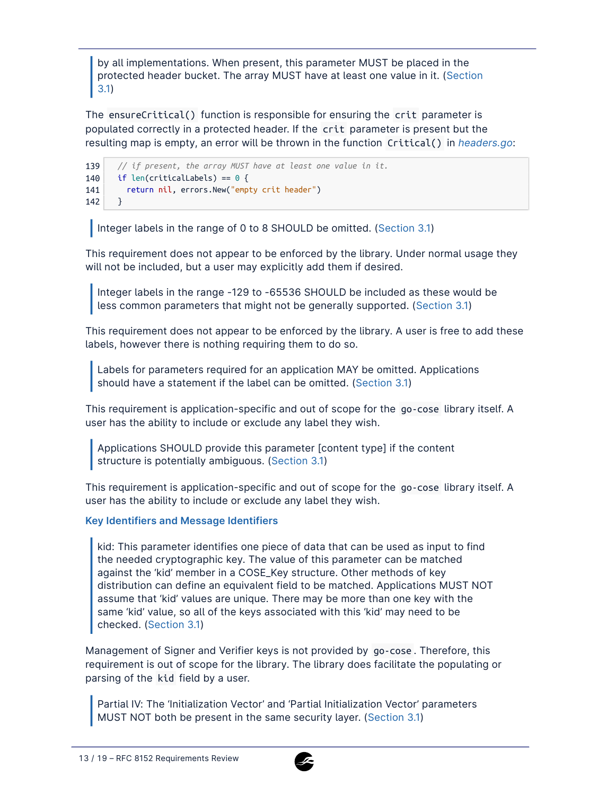by all implementations. When present, this parameter MUST be placed in the protected header bucket. The array MUST have at least one value in it. ([Section](https://datatracker.ietf.org/doc/html/rfc8152#section-3.1) [3.1](https://datatracker.ietf.org/doc/html/rfc8152#section-3.1))

The ensureCritical() function is responsible for ensuring the crit parameter is populated correctly in a protected header. If the crit parameter is present but the resulting map is empty, an error will be thrown in the function Critical() in *[headers.go](https://github.com/veraison/go-cose/blob/8cef769ef52c8fc111a8b1e4da83649f1cb170d0/headers.go#L139-L142)*:

```
139
140
141
142
       // if present, the array MUST have at least one value in it.
       if len(criticalLabels) == 0 \nmidreturn nil, errors.New("empty crit header")
       }
```
Integer labels in the range of 0 to 8 SHOULD be omitted. ([Section 3.1](https://datatracker.ietf.org/doc/html/rfc8152#section-3.1))

This requirement does not appear to be enforced by the library. Under normal usage they will not be included, but a user may explicitly add them if desired.

Integer labels in the range -129 to -65536 SHOULD be included as these would be less common parameters that might not be generally supported. [\(Section 3.1\)](https://datatracker.ietf.org/doc/html/rfc8152#section-3.1)

This requirement does not appear to be enforced by the library. A user is free to add these labels, however there is nothing requiring them to do so.

Labels for parameters required for an application MAY be omitted. Applications should have a statement if the label can be omitted. [\(Section 3.1\)](https://datatracker.ietf.org/doc/html/rfc8152#section-3.1)

This requirement is application-specific and out of scope for the go-cose library itself. A user has the ability to include or exclude any label they wish.

Applications SHOULD provide this parameter [content type] if the content structure is potentially ambiguous. [\(Section 3.1\)](https://datatracker.ietf.org/doc/html/rfc8152#section-3.1)

This requirement is application-specific and out of scope for the go-cose library itself. A user has the ability to include or exclude any label they wish.

#### **Key Identifiers and Message Identifiers**

kid: This parameter identifies one piece of data that can be used as input to find the needed cryptographic key. The value of this parameter can be matched against the 'kid' member in a COSE\_Key structure. Other methods of key distribution can define an equivalent field to be matched. Applications MUST NOT assume that 'kid' values are unique. There may be more than one key with the same 'kid' value, so all of the keys associated with this 'kid' may need to be checked. [\(Section 3.1\)](https://datatracker.ietf.org/doc/html/rfc8152#section-3.1)

Management of Signer and Verifier keys is not provided by go-cose . Therefore, this requirement is out of scope for the library. The library does facilitate the populating or parsing of the kid field by a user.

Partial IV: The 'Initialization Vector' and 'Partial Initialization Vector' parameters MUST NOT both be present in the same security layer. [\(Section 3.1\)](https://datatracker.ietf.org/doc/html/rfc8152#section-3.1)

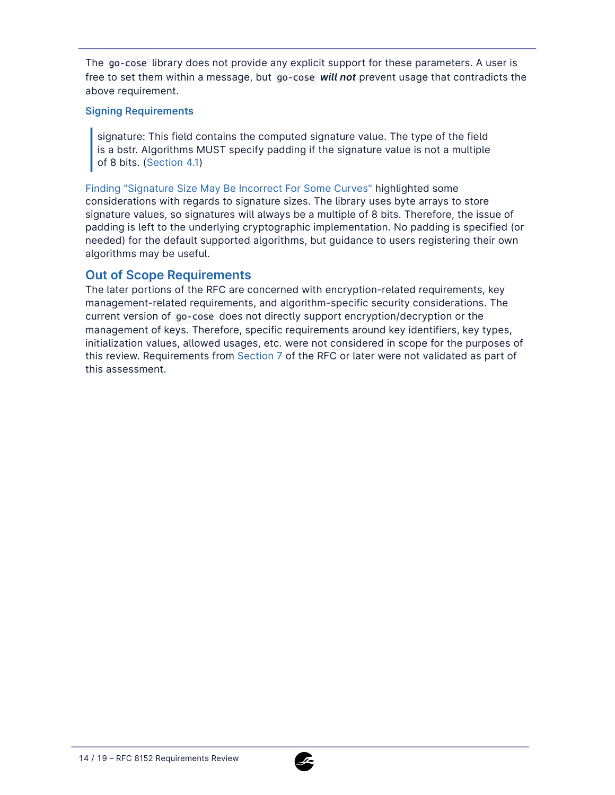The go-cose library does not provide any explicit support for these parameters. A user is free to set them within a message, but go-cose *will not* prevent usage that contradicts the above requirement.

#### **Signing Requirements**

signature: This field contains the computed signature value. The type of the field is a bstr. Algorithms MUST specify padding if the signature value is not a multiple of 8 bits. ([Section 4.1](https://datatracker.ietf.org/doc/html/rfc8152#section-4.1))

[Finding "Signature Size May Be Incorrect For Some Curves"](#page-5-0) highlighted some considerations with regards to signature sizes. The library uses byte arrays to store signature values, so signatures will always be a multiple of 8 bits. Therefore, the issue of padding is left to the underlying cryptographic implementation. No padding is specified (or needed) for the default supported algorithms, but guidance to users registering their own algorithms may be useful.

### **Out of Scope Requirements**

The later portions of the RFC are concerned with encryption-related requirements, key management-related requirements, and algorithm-specific security considerations. The current version of go-cose does not directly support encryption/decryption or the management of keys. Therefore, specific requirements around key identifiers, key types, initialization values, allowed usages, etc. were not considered in scope for the purposes of this review. Requirements from [Section 7](https://datatracker.ietf.org/doc/html/rfc8152#section-7) of the RFC or later were not validated as part of this assessment.

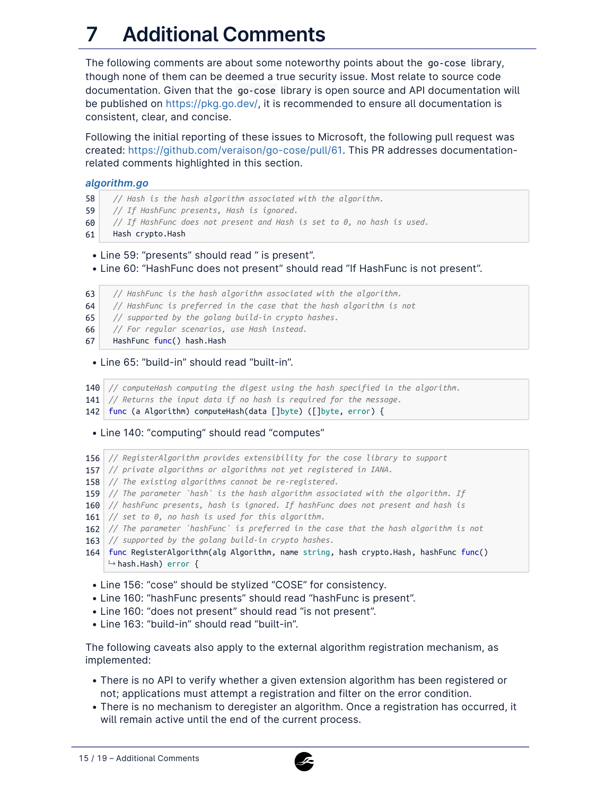# **7 Additional Comments**

The following comments are about some noteworthy points about the go-cose library, though none of them can be deemed a true security issue. Most relate to source code documentation. Given that the go-cose library is open source and API documentation will be published on [https://pkg.go.dev/,](https://pkg.go.dev/) it is recommended to ensure all documentation is consistent, clear, and concise.

Following the initial reporting of these issues to Microsoft, the following pull request was created: <https://github.com/veraison/go-cose/pull/61>. This PR addresses documentationrelated comments highlighted in this section.

#### *algorithm.go*

- 58 *// Hash is the hash algorithm associated with the algorithm.*
- 59 *// If HashFunc presents, Hash is ignored.*
- 60 *// If HashFunc does not present and Hash is set to 0, no hash is used.*
- 61 Hash crypto.Hash
- Line 59: "presents" should read " is present".
- Line 60: "HashFunc does not present" should read "If HashFunc is not present".
- 63 *// HashFunc is the hash algorithm associated with the algorithm.*
- 64 *// HashFunc is preferred in the case that the hash algorithm is not*
- 65 *// supported by the golang build-in crypto hashes.*
- 66 *// For regular scenarios, use Hash instead.*
- 67 HashFunc func() hash.Hash

#### • Line 65: "build-in" should read "built-in".

140 *// computeHash computing the digest using the hash specified in the algorithm.*

- 141 *// Returns the input data if no hash is required for the message.*
- 142 func (a Algorithm) computeHash(data []byte) ([]byte, error) {

#### • Line 140: "computing" should read "computes"

- 156 *// RegisterAlgorithm provides extensibility for the cose library to support*
- 157 *// private algorithms or algorithms not yet registered in IANA.*
- 158 *// The existing algorithms cannot be re-registered.*
- 159 *// The parameter `hash` is the hash algorithm associated with the algorithm. If*
- 160 *// hashFunc presents, hash is ignored. If hashFunc does not present and hash is*
- 161 *// set to 0, no hash is used for this algorithm.*
- 162 *// The parameter `hashFunc` is preferred in the case that the hash algorithm is not*
- 163 *// supported by the golang build-in crypto hashes.*
- 164 func RegisterAlgorithm(alg Algorithm, name string, hash crypto.Hash, hashFunc func()  $\mapsto$  hash.Hash) error {
- Line 156: "cose" should be stylized "COSE" for consistency.
- Line 160: "hashFunc presents" should read "hashFunc is present".
- Line 160: "does not present" should read "is not present".
- Line 163: "build-in" should read "built-in".

The following caveats also apply to the external algorithm registration mechanism, as implemented:

- There is no API to verify whether a given extension algorithm has been registered or not; applications must attempt a registration and filter on the error condition.
- There is no mechanism to deregister an algorithm. Once a registration has occurred, it will remain active until the end of the current process.

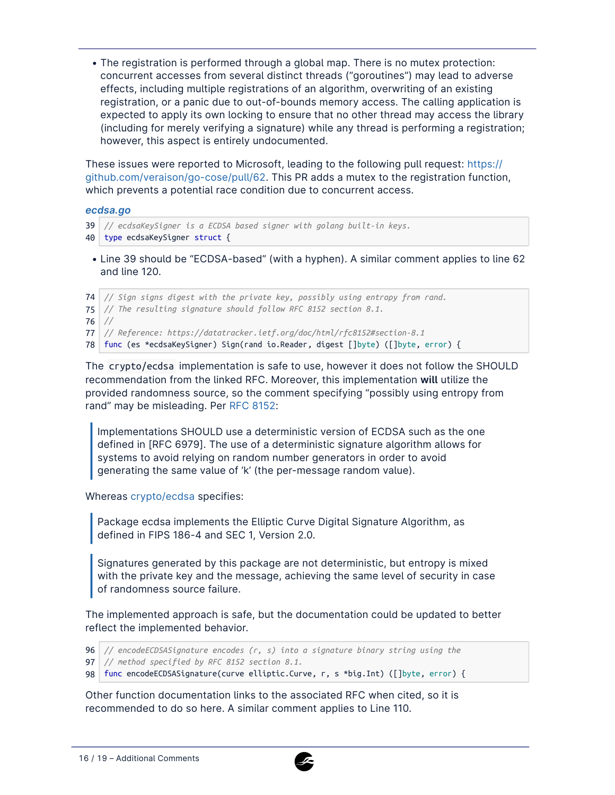• The registration is performed through a global map. There is no mutex protection: concurrent accesses from several distinct threads ("goroutines") may lead to adverse effects, including multiple registrations of an algorithm, overwriting of an existing registration, or a panic due to out-of-bounds memory access. The calling application is expected to apply its own locking to ensure that no other thread may access the library (including for merely verifying a signature) while any thread is performing a registration; however, this aspect is entirely undocumented.

These issues were reported to Microsoft, leading to the following pull request: [https://](https://github.com/veraison/go-cose/pull/62) [github.com/veraison/go-cose/pull/62.](https://github.com/veraison/go-cose/pull/62) This PR adds a mutex to the registration function, which prevents a potential race condition due to concurrent access.

#### *ecdsa.go*

```
39
// ecdsaKeySigner is a ECDSA based signer with golang built-in keys.
40
type ecdsaKeySigner struct {
```
• Line 39 should be "ECDSA-based" (with a hyphen). A similar comment applies to line 62 and line 120.

 *// Sign signs digest with the private key, possibly using entropy from rand. // The resulting signature should follow RFC 8152 section 8.1.* 76 *// // Reference: https://datatracker.ietf.org/doc/html/rfc8152#section-8.1* func (es \*ecdsaKeySigner) Sign(rand io.Reader, digest []byte) ([]byte, error) {

The crypto/ecdsa implementation is safe to use, however it does not follow the SHOULD recommendation from the linked RFC. Moreover, this implementation **will** utilize the provided randomness source, so the comment specifying "possibly using entropy from rand" may be misleading. Per [RFC 8152](https://datatracker.ietf.org/doc/html/rfc8152#section-8.1):

Implementations SHOULD use a deterministic version of ECDSA such as the one defined in [RFC 6979]. The use of a deterministic signature algorithm allows for systems to avoid relying on random number generators in order to avoid generating the same value of 'k' (the per-message random value).

Whereas [crypto/ecdsa](https://pkg.go.dev/crypto/ecdsa) specifies:

Package ecdsa implements the Elliptic Curve Digital Signature Algorithm, as defined in FIPS 186-4 and SEC 1, Version 2.0.

Signatures generated by this package are not deterministic, but entropy is mixed with the private key and the message, achieving the same level of security in case of randomness source failure.

The implemented approach is safe, but the documentation could be updated to better reflect the implemented behavior.

96 *// encodeECDSASignature encodes (r, s) into a signature binary string using the*

97 *// method specified by RFC 8152 section 8.1.*

98 func encodeECDSASignature(curve elliptic.Curve, r, s \*big.Int) ([]byte, error) {

Other function documentation links to the associated RFC when cited, so it is recommended to do so here. A similar comment applies to Line 110.

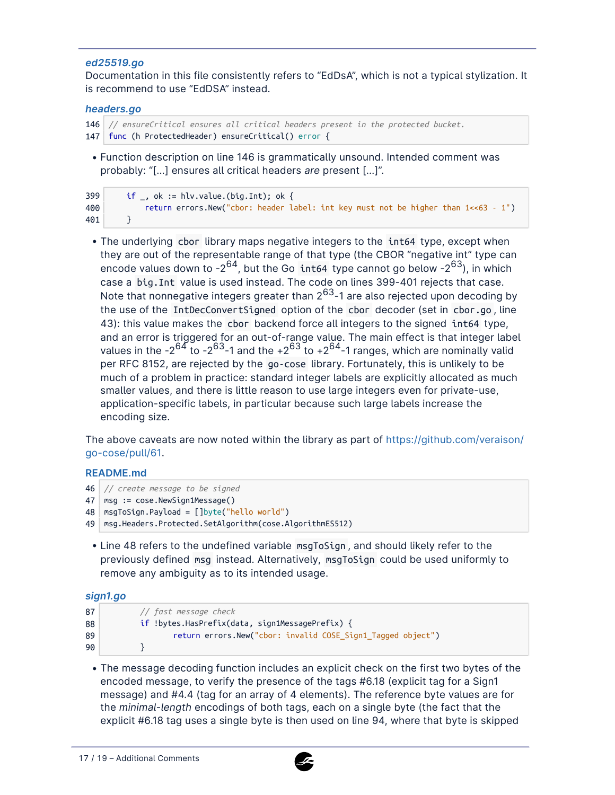#### *ed25519.go*

Documentation in this file consistently refers to "EdDsA", which is not a typical stylization. It is recommend to use "EdDSA" instead.

#### *headers.go*

```
146
// ensureCritical ensures all critical headers present in the protected bucket.
147
func (h ProtectedHeader) ensureCritical() error {
```
• Function description on line 146 is grammatically unsound. Intended comment was probably: "[…] ensures all critical headers *are* present […]".

| 399 | if , ok := hlv.value.(big.Int); ok {                                                   |
|-----|----------------------------------------------------------------------------------------|
| 400 | return errors.New("cbor: header label: int key must not be higher than $1 < 63 - 1$ ") |
| 401 |                                                                                        |

• The underlying cbor library maps negative integers to the int64 type, except when they are out of the representable range of that type (the CBOR "negative int" type can encode values down to  $-2^{64}$ , but the Go int64 type cannot go below  $-2^{63}$ ), in which case a big.Int value is used instead. The code on lines 399-401 rejects that case. Note that nonnegative integers greater than  $2^{63}$ -1 are also rejected upon decoding by the use of the IntDecConvertSigned option of the cbor decoder (set in cbor.go , line 43): this value makes the cbor backend force all integers to the signed int64 type, and an error is triggered for an out-of-range value. The main effect is that integer label values in the  $-2^{64}$  to  $-2^{63}$ -1 and the  $+2^{63}$  to  $+2^{64}$ -1 ranges, which are nominally valid per RFC 8152, are rejected by the go-cose library. Fortunately, this is unlikely to be much of a problem in practice: standard integer labels are explicitly allocated as much smaller values, and there is little reason to use large integers even for private-use, application-specific labels, in particular because such large labels increase the encoding size.

The above caveats are now noted within the library as part of [https://github.com/veraison/](https://github.com/veraison/go-cose/pull/61) [go-cose/pull/61](https://github.com/veraison/go-cose/pull/61).

#### **README.md**

```
46
// create message to be signed
47
msg := cose.NewSign1Message()
48
msgToSign.Payload = []byte("hello world")
49
msg.Headers.Protected.SetAlgorithm(cose.AlgorithmES512)
```
• Line 48 refers to the undefined variable msgToSign, and should likely refer to the previously defined msg instead. Alternatively, msgToSign could be used uniformly to remove any ambiguity as to its intended usage.

#### *sign1.go*

```
87
88
89
90
            // fast message check
            if !bytes.HasPrefix(data, sign1MessagePrefix) {
                    return errors.New("cbor: invalid COSE_Sign1_Tagged object")
            }
```
• The message decoding function includes an explicit check on the first two bytes of the encoded message, to verify the presence of the tags #6.18 (explicit tag for a Sign1 message) and #4.4 (tag for an array of 4 elements). The reference byte values are for the *minimal-length* encodings of both tags, each on a single byte (the fact that the explicit #6.18 tag uses a single byte is then used on line 94, where that byte is skipped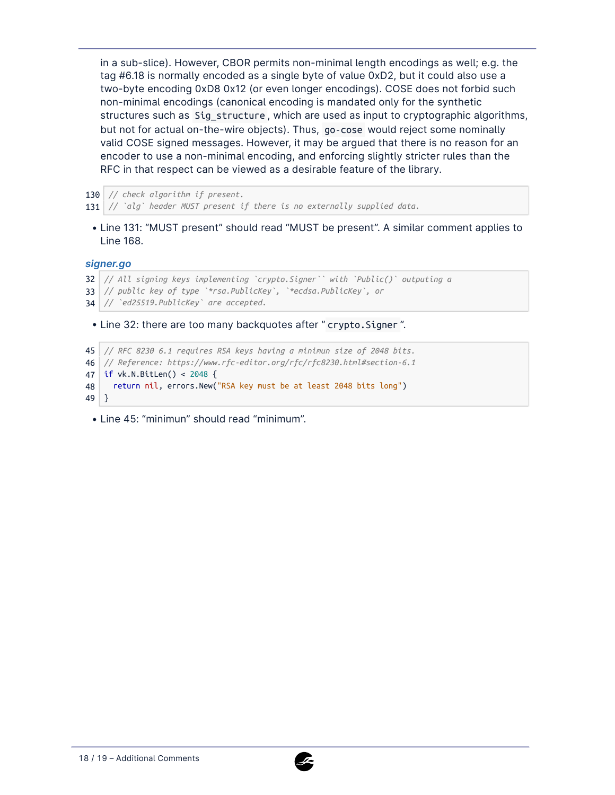in a sub-slice). However, CBOR permits non-minimal length encodings as well; e.g. the tag #6.18 is normally encoded as a single byte of value 0xD2, but it could also use a two-byte encoding 0xD8 0x12 (or even longer encodings). COSE does not forbid such non-minimal encodings (canonical encoding is mandated only for the synthetic structures such as Sig\_structure , which are used as input to cryptographic algorithms, but not for actual on-the-wire objects). Thus, go-cose would reject some nominally valid COSE signed messages. However, it may be argued that there is no reason for an encoder to use a non-minimal encoding, and enforcing slightly stricter rules than the RFC in that respect can be viewed as a desirable feature of the library.

130 *// check algorithm if present.*

131 *// `alg` header MUST present if there is no externally supplied data.*

• Line 131: "MUST present" should read "MUST be present". A similar comment applies to Line 168.

*signer.go*

```
• Line 32: there are too many backquotes after " crypto. Signer".
32
// All signing keys implementing `crypto.Signer`` with `Public()` outputing a
33
// public key of type `*rsa.PublicKey`, `*ecdsa.PublicKey`, or
34
// `ed25519.PublicKey` are accepted.
45
// RFC 8230 6.1 requires RSA keys having a minimun size of 2048 bits.
```
46 *// Reference: https://www.rfc-editor.org/rfc/rfc8230.html#section-6.1*

47 if vk.N.BitLen() < 2048 {

48 return nil, errors.New("RSA key must be at least 2048 bits long")

49 }

• Line 45: "minimun" should read "minimum".